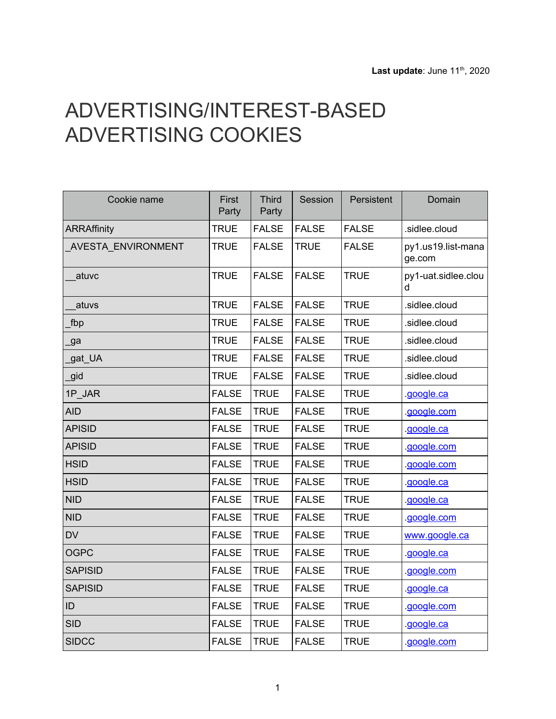## ADVERTISING/INTEREST-BASED ADVERTISING COOKIES

| Cookie name               | First<br>Party | <b>Third</b><br>Party | Session      | Persistent   | Domain                       |
|---------------------------|----------------|-----------------------|--------------|--------------|------------------------------|
| <b>ARRAffinity</b>        | <b>TRUE</b>    | <b>FALSE</b>          | <b>FALSE</b> | <b>FALSE</b> | .sidlee.cloud                |
| <b>AVESTA_ENVIRONMENT</b> | <b>TRUE</b>    | <b>FALSE</b>          | <b>TRUE</b>  | <b>FALSE</b> | py1.us19.list-mana<br>ge.com |
| atuvc                     | <b>TRUE</b>    | <b>FALSE</b>          | <b>FALSE</b> | <b>TRUE</b>  | py1-uat.sidlee.clou          |
| atuvs                     | <b>TRUE</b>    | <b>FALSE</b>          | <b>FALSE</b> | <b>TRUE</b>  | .sidlee.cloud                |
| fbp                       | <b>TRUE</b>    | <b>FALSE</b>          | <b>FALSE</b> | <b>TRUE</b>  | .sidlee.cloud                |
| ga                        | <b>TRUE</b>    | <b>FALSE</b>          | <b>FALSE</b> | <b>TRUE</b>  | .sidlee.cloud                |
| gat_UA                    | <b>TRUE</b>    | <b>FALSE</b>          | <b>FALSE</b> | <b>TRUE</b>  | .sidlee.cloud                |
| gid                       | <b>TRUE</b>    | <b>FALSE</b>          | <b>FALSE</b> | <b>TRUE</b>  | .sidlee.cloud                |
| 1P_JAR                    | <b>FALSE</b>   | <b>TRUE</b>           | <b>FALSE</b> | <b>TRUE</b>  | google.ca                    |
| <b>AID</b>                | <b>FALSE</b>   | <b>TRUE</b>           | <b>FALSE</b> | <b>TRUE</b>  | google.com                   |
| <b>APISID</b>             | <b>FALSE</b>   | <b>TRUE</b>           | <b>FALSE</b> | <b>TRUE</b>  | google.ca                    |
| <b>APISID</b>             | <b>FALSE</b>   | <b>TRUE</b>           | <b>FALSE</b> | <b>TRUE</b>  | google.com                   |
| <b>HSID</b>               | <b>FALSE</b>   | <b>TRUE</b>           | <b>FALSE</b> | <b>TRUE</b>  | .google.com                  |
| <b>HSID</b>               | <b>FALSE</b>   | <b>TRUE</b>           | <b>FALSE</b> | <b>TRUE</b>  | google.ca                    |
| <b>NID</b>                | <b>FALSE</b>   | <b>TRUE</b>           | <b>FALSE</b> | <b>TRUE</b>  | google.ca                    |
| <b>NID</b>                | <b>FALSE</b>   | <b>TRUE</b>           | <b>FALSE</b> | <b>TRUE</b>  | google.com                   |
| <b>DV</b>                 | <b>FALSE</b>   | <b>TRUE</b>           | <b>FALSE</b> | <b>TRUE</b>  | www.google.ca                |
| <b>OGPC</b>               | <b>FALSE</b>   | <b>TRUE</b>           | <b>FALSE</b> | <b>TRUE</b>  | google.ca                    |
| <b>SAPISID</b>            | <b>FALSE</b>   | <b>TRUE</b>           | <b>FALSE</b> | <b>TRUE</b>  | google.com                   |
| <b>SAPISID</b>            | <b>FALSE</b>   | <b>TRUE</b>           | <b>FALSE</b> | <b>TRUE</b>  | google.ca                    |
| ID                        | <b>FALSE</b>   | <b>TRUE</b>           | <b>FALSE</b> | <b>TRUE</b>  | google.com                   |
| <b>SID</b>                | <b>FALSE</b>   | <b>TRUE</b>           | <b>FALSE</b> | <b>TRUE</b>  | google.ca                    |
| <b>SIDCC</b>              | <b>FALSE</b>   | <b>TRUE</b>           | <b>FALSE</b> | <b>TRUE</b>  | google.com                   |